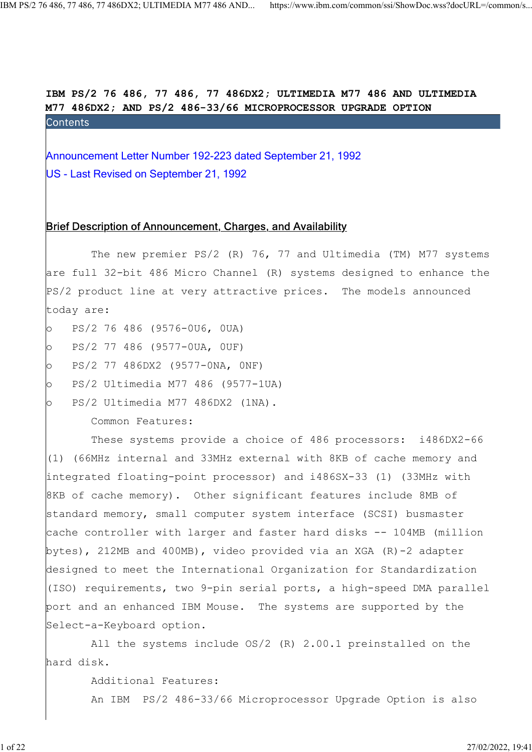IBM PS/2 76 486, 77 486, 77 486DX2; ULTIMEDIA M77 486 AND ULTIMEDIA M77 486DX2; AND PS/2 486-33/66 MICROPROCESSOR UPGRADE OPTION Announcement Letter Number 192-223 dated September 21, 1992<br>Mannouncement Letter Number 192-223 dated September 21, 1992<br>Mannouncement Letter Number 192-223 dated September 21, 1992<br>Mannouncement Letter Number 192-223 date

US - Last Revised on September 21, 1992

#### Brief Description of Announcement, Charges, and Availability

The new premier PS/2 (R) 76, 77 and Ultimedia (TM) M77 systems are full 32-bit 486 Micro Channel (R) systems designed to enhance the PS/2 product line at very attractive prices. The models announced today are:

- o PS/2 76 486 (9576-0U6, 0UA)
- o PS/2 77 486 (9577-0UA, 0UF)
- o PS/2 77 486DX2 (9577-0NA, 0NF)
- o PS/2 Ultimedia M77 486 (9577-1UA)
- o PS/2 Ultimedia M77 486DX2 (1NA).

Common Features:

 These systems provide a choice of 486 processors: i486DX2-66 (1) (66MHz internal and 33MHz external with 8KB of cache memory and integrated floating-point processor) and i486SX-33 (1) (33MHz with 8KB of cache memory). Other significant features include 8MB of standard memory, small computer system interface (SCSI) busmaster cache controller with larger and faster hard disks -- 104MB (million bytes), 212MB and 400MB), video provided via an XGA (R)-2 adapter designed to meet the International Organization for Standardization (ISO) requirements, two 9-pin serial ports, a high-speed DMA parallel port and an enhanced IBM Mouse. The systems are supported by the Select-a-Keyboard option.

 All the systems include OS/2 (R) 2.00.1 preinstalled on the hard disk.

Additional Features:

An IBM PS/2 486-33/66 Microprocessor Upgrade Option is also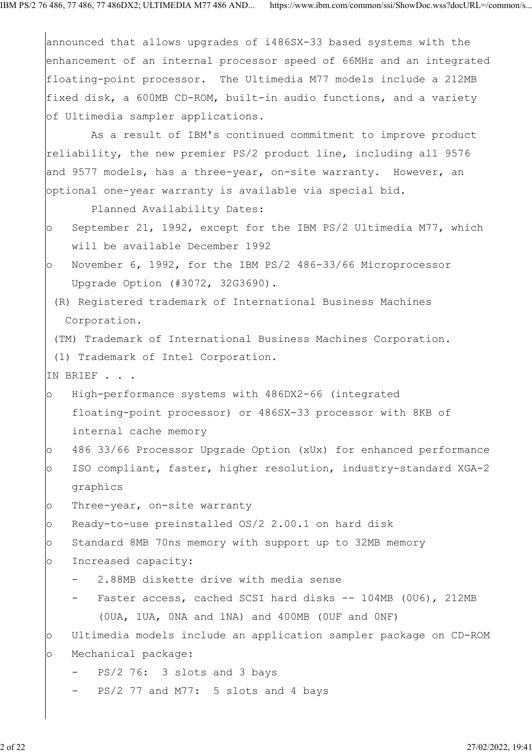|         | announced that allows upgrades of i486SX-33 based systems with the    |
|---------|-----------------------------------------------------------------------|
|         | enhancement of an internal processor speed of 66MHz and an integrated |
|         | floating-point processor. The Ultimedia M77 models include a 212MB    |
|         | fixed disk, a 600MB CD-ROM, built-in audio functions, and a variety   |
|         | of Ultimedia sampler applications.                                    |
|         | As a result of IBM's continued commitment to improve product          |
|         | reliability, the new premier PS/2 product line, including all 9576    |
|         | and 9577 models, has a three-year, on-site warranty. However, an      |
|         | optional one-year warranty is available via special bid.              |
|         | Planned Availability Dates:                                           |
| $\circ$ | September 21, 1992, except for the IBM PS/2 Ultimedia M77, which      |
|         | will be available December 1992                                       |
| $\circ$ | November 6, 1992, for the IBM PS/2 486-33/66 Microprocessor           |
|         | Upgrade Option (#3072, 32G3690).                                      |
|         | (R) Registered trademark of International Business Machines           |
|         | Corporation.                                                          |
|         | (TM) Trademark of International Business Machines Corporation.        |
|         | (1) Trademark of Intel Corporation.                                   |
|         | IN BRIEF                                                              |
| $\circ$ | High-performance systems with 486DX2-66 (integrated                   |
|         | floating-point processor) or 486SX-33 processor with 8KB of           |
|         | internal cache memory                                                 |
| $\circ$ | 486 33/66 Processor Upgrade Option (xUx) for enhanced performance     |
| $\circ$ | ISO compliant, faster, higher resolution, industry-standard XGA-2     |
|         | graphics                                                              |
| $\circ$ | Three-year, on-site warranty                                          |
| $\circ$ | Ready-to-use preinstalled OS/2 2.00.1 on hard disk                    |
| $\circ$ | Standard 8MB 70ns memory with support up to 32MB memory               |
| $\circ$ | Increased capacity:                                                   |
|         | 2.88MB diskette drive with media sense                                |
|         | Faster access, cached SCSI hard disks -- 104MB (0U6), 212MB           |
|         | (OUA, 1UA, ONA and 1NA) and 400MB (OUF and ONF)                       |
| $\circ$ | Ultimedia models include an application sampler package on CD-ROM     |
| $\circ$ | Mechanical package:                                                   |
|         | PS/2 76: 3 slots and 3 bays                                           |
|         | PS/2 77 and M77: 5 slots and 4 bays                                   |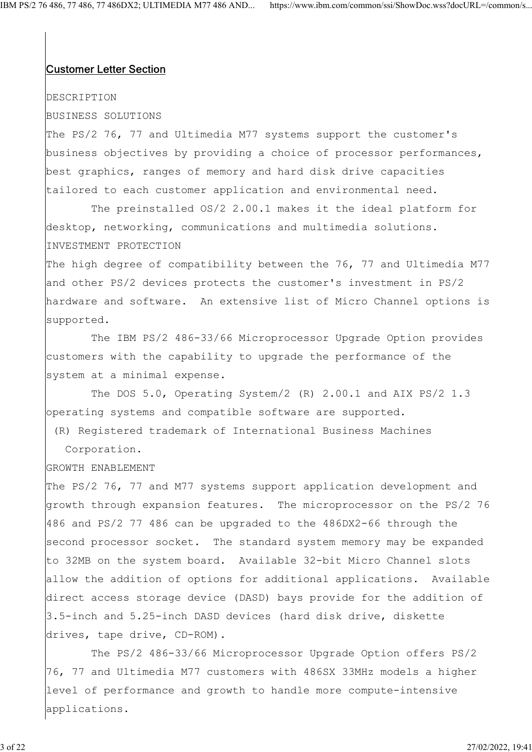## **Customer Letter Section**

#### DESCRIPTION

## BUSINESS SOLUTIONS

The PS/2 76, 77 and Ultimedia M77 systems support the customer's business objectives by providing a choice of processor performances, best graphics, ranges of memory and hard disk drive capacities tailored to each customer application and environmental need.

 The preinstalled OS/2 2.00.1 makes it the ideal platform for desktop, networking, communications and multimedia solutions. INVESTMENT PROTECTION

The high degree of compatibility between the 76, 77 and Ultimedia M77 and other PS/2 devices protects the customer's investment in PS/2 hardware and software. An extensive list of Micro Channel options is supported.

 The IBM PS/2 486-33/66 Microprocessor Upgrade Option provides customers with the capability to upgrade the performance of the system at a minimal expense.

 The DOS 5.0, Operating System/2 (R) 2.00.1 and AIX PS/2 1.3 operating systems and compatible software are supported.

(R) Registered trademark of International Business Machines

Corporation.

### GROWTH ENABLEMENT

The PS/2 76, 77 and M77 systems support application development and growth through expansion features. The microprocessor on the PS/2 76 486 and PS/2 77 486 can be upgraded to the 486DX2-66 through the second processor socket. The standard system memory may be expanded to 32MB on the system board. Available 32-bit Micro Channel slots allow the addition of options for additional applications. Available direct access storage device (DASD) bays provide for the addition of 3.5-inch and 5.25-inch DASD devices (hard disk drive, diskette drives, tape drive, CD-ROM).

 The PS/2 486-33/66 Microprocessor Upgrade Option offers PS/2 76, 77 and Ultimedia M77 customers with 486SX 33MHz models a higher level of performance and growth to handle more compute-intensive applications.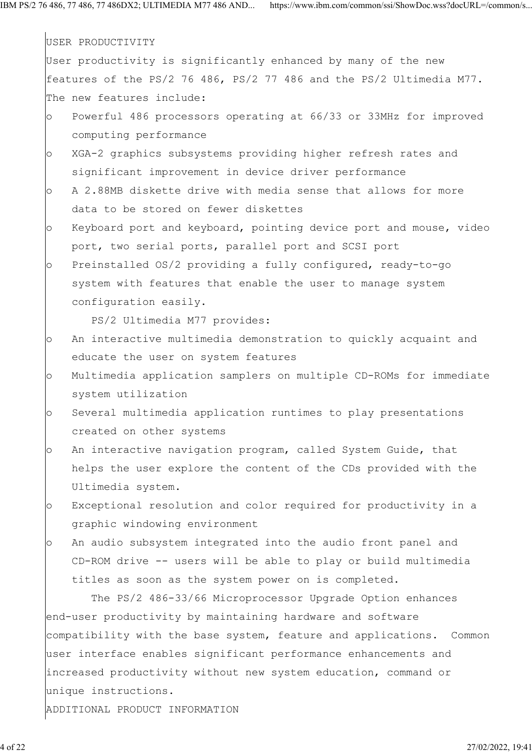|         | USER PRODUCTIVITY                                                    |
|---------|----------------------------------------------------------------------|
|         | User productivity is significantly enhanced by many of the new       |
|         | features of the PS/2 76 486, PS/2 77 486 and the PS/2 Ultimedia M77. |
|         | The new features include:                                            |
| $\circ$ | Powerful 486 processors operating at 66/33 or 33MHz for improved     |
|         | computing performance                                                |
| $\circ$ | XGA-2 graphics subsystems providing higher refresh rates and         |
|         | significant improvement in device driver performance                 |
| $\circ$ | A 2.88MB diskette drive with media sense that allows for more        |
|         | data to be stored on fewer diskettes                                 |
| $\circ$ | Keyboard port and keyboard, pointing device port and mouse, video    |
|         | port, two serial ports, parallel port and SCSI port                  |
| $\circ$ | Preinstalled OS/2 providing a fully configured, ready-to-go          |
|         | system with features that enable the user to manage system           |
|         | configuration easily.                                                |
|         | PS/2 Ultimedia M77 provides:                                         |
| $\circ$ | An interactive multimedia demonstration to quickly acquaint and      |
|         | educate the user on system features                                  |
| $\circ$ | Multimedia application samplers on multiple CD-ROMs for immediate    |
|         | system utilization                                                   |
| $\circ$ | Several multimedia application runtimes to play presentations        |
|         | created on other systems                                             |
| $\circ$ | An interactive navigation program, called System Guide, that         |
|         | helps the user explore the content of the CDs provided with the      |
|         | Ultimedia system.                                                    |
| $\circ$ | Exceptional resolution and color required for productivity in a      |
|         | graphic windowing environment                                        |
| $\circ$ | An audio subsystem integrated into the audio front panel and         |
|         | CD-ROM drive -- users will be able to play or build multimedia       |
|         | titles as soon as the system power on is completed.                  |
|         | The PS/2 486-33/66 Microprocessor Upgrade Option enhances            |
|         | end-user productivity by maintaining hardware and software           |
|         | compatibility with the base system, feature and applications. Common |
|         | user interface enables significant performance enhancements and      |
|         | increased productivity without new system education, command or      |
|         | unique instructions.                                                 |
|         | ADDITIONAL PRODUCT INFORMATION                                       |
|         |                                                                      |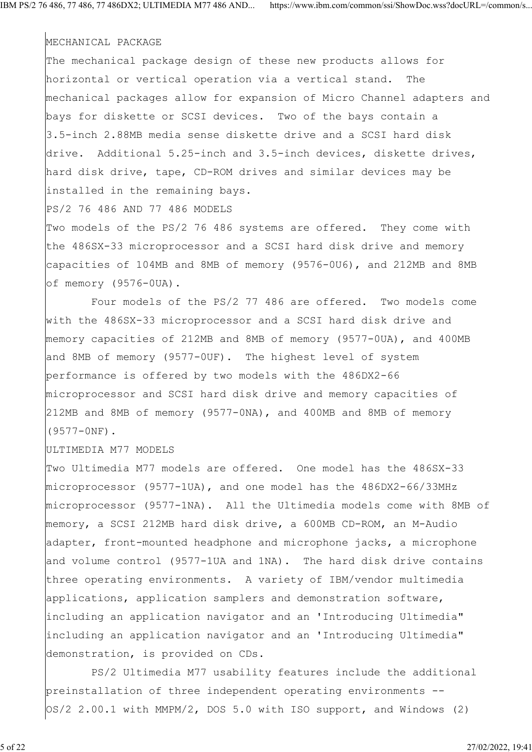#### MECHANICAL PACKAGE

The mechanical package design of these new products allows for horizontal or vertical operation via a vertical stand. The mechanical packages allow for expansion of Micro Channel adapters and bays for diskette or SCSI devices. Two of the bays contain a 3.5-inch 2.88MB media sense diskette drive and a SCSI hard disk drive. Additional 5.25-inch and 3.5-inch devices, diskette drives, hard disk drive, tape, CD-ROM drives and similar devices may be installed in the remaining bays.

PS/2 76 486 AND 77 486 MODELS

Two models of the PS/2 76 486 systems are offered. They come with the 486SX-33 microprocessor and a SCSI hard disk drive and memory capacities of 104MB and 8MB of memory (9576-0U6), and 212MB and 8MB of memory (9576-0UA).

 Four models of the PS/2 77 486 are offered. Two models come with the 486SX-33 microprocessor and a SCSI hard disk drive and memory capacities of 212MB and 8MB of memory (9577-0UA), and 400MB and 8MB of memory (9577-0UF). The highest level of system performance is offered by two models with the 486DX2-66 microprocessor and SCSI hard disk drive and memory capacities of 212MB and 8MB of memory (9577-0NA), and 400MB and 8MB of memory (9577-0NF).

ULTIMEDIA M77 MODELS

Two Ultimedia M77 models are offered. One model has the 486SX-33 microprocessor (9577-1UA), and one model has the 486DX2-66/33MHz microprocessor (9577-1NA). All the Ultimedia models come with 8MB of memory, a SCSI 212MB hard disk drive, a 600MB CD-ROM, an M-Audio adapter, front-mounted headphone and microphone jacks, a microphone and volume control (9577-1UA and 1NA). The hard disk drive contains three operating environments. A variety of IBM/vendor multimedia applications, application samplers and demonstration software, including an application navigator and an 'Introducing Ultimedia" including an application navigator and an 'Introducing Ultimedia" demonstration, is provided on CDs.

 PS/2 Ultimedia M77 usability features include the additional preinstallation of three independent operating environments --  $OS/2$  2.00.1 with MMPM/2, DOS 5.0 with ISO support, and Windows (2)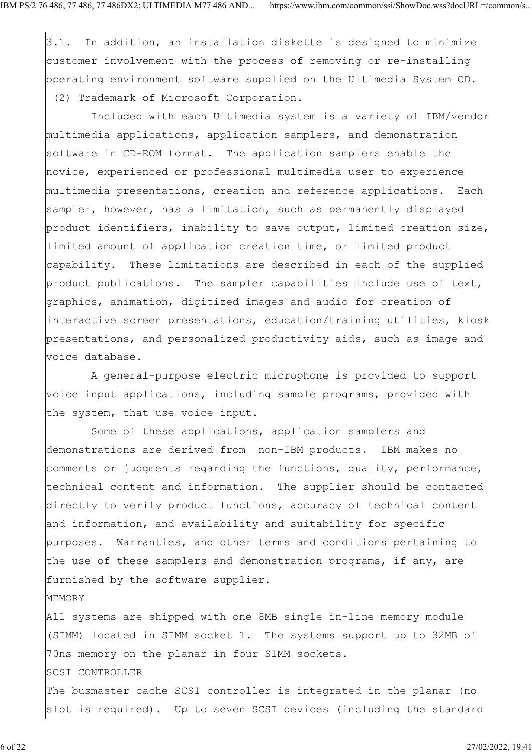3.1. In addition, an installation diskette is designed to minimize customer involvement with the process of removing or re-installing operating environment software supplied on the Ultimedia System CD. (2) Trademark of Microsoft Corporation.

 Included with each Ultimedia system is a variety of IBM/vendor multimedia applications, application samplers, and demonstration software in CD-ROM format. The application samplers enable the novice, experienced or professional multimedia user to experience multimedia presentations, creation and reference applications. Each sampler, however, has a limitation, such as permanently displayed product identifiers, inability to save output, limited creation size, limited amount of application creation time, or limited product capability. These limitations are described in each of the supplied product publications. The sampler capabilities include use of text, graphics, animation, digitized images and audio for creation of interactive screen presentations, education/training utilities, kiosk presentations, and personalized productivity aids, such as image and voice database.

 A general-purpose electric microphone is provided to support voice input applications, including sample programs, provided with the system, that use voice input.

 Some of these applications, application samplers and demonstrations are derived from non-IBM products. IBM makes no comments or judgments regarding the functions, quality, performance, technical content and information. The supplier should be contacted directly to verify product functions, accuracy of technical content and information, and availability and suitability for specific purposes. Warranties, and other terms and conditions pertaining to the use of these samplers and demonstration programs, if any, are furnished by the software supplier.

All systems are shipped with one 8MB single in-line memory module (SIMM) located in SIMM socket 1. The systems support up to 32MB of 70ns memory on the planar in four SIMM sockets. SCSI CONTROLLER The busmaster cache SCSI controller is integrated in the planar (no slot is required). Up to seven SCSI devices (including the standard

MEMORY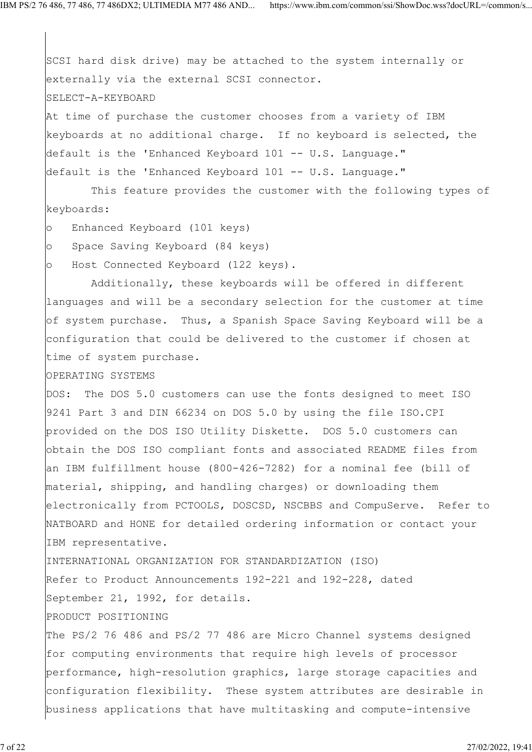SCSI hard disk drive) may be attached to the system internally or externally via the external SCSI connector. SELECT-A-KEYBOARD At time of purchase the customer chooses from a variety of IBM keyboards at no additional charge. If no keyboard is selected, the default is the 'Enhanced Keyboard 101 -- U.S. Language." default is the 'Enhanced Keyboard 101 -- U.S. Language."

 This feature provides the customer with the following types of keyboards:

- o Enhanced Keyboard (101 keys)
- o Space Saving Keyboard (84 keys)

o Host Connected Keyboard (122 keys).

 Additionally, these keyboards will be offered in different languages and will be a secondary selection for the customer at time of system purchase. Thus, a Spanish Space Saving Keyboard will be a configuration that could be delivered to the customer if chosen at time of system purchase.

#### OPERATING SYSTEMS

DOS: The DOS 5.0 customers can use the fonts designed to meet ISO 9241 Part 3 and DIN 66234 on DOS 5.0 by using the file ISO.CPI provided on the DOS ISO Utility Diskette. DOS 5.0 customers can obtain the DOS ISO compliant fonts and associated README files from an IBM fulfillment house (800-426-7282) for a nominal fee (bill of material, shipping, and handling charges) or downloading them electronically from PCTOOLS, DOSCSD, NSCBBS and CompuServe. Refer to NATBOARD and HONE for detailed ordering information or contact your IBM representative.

INTERNATIONAL ORGANIZATION FOR STANDARDIZATION (ISO) Refer to Product Announcements 192-221 and 192-228, dated September 21, 1992, for details.

#### PRODUCT POSITIONING

The PS/2 76 486 and PS/2 77 486 are Micro Channel systems designed for computing environments that require high levels of processor performance, high-resolution graphics, large storage capacities and configuration flexibility. These system attributes are desirable in business applications that have multitasking and compute-intensive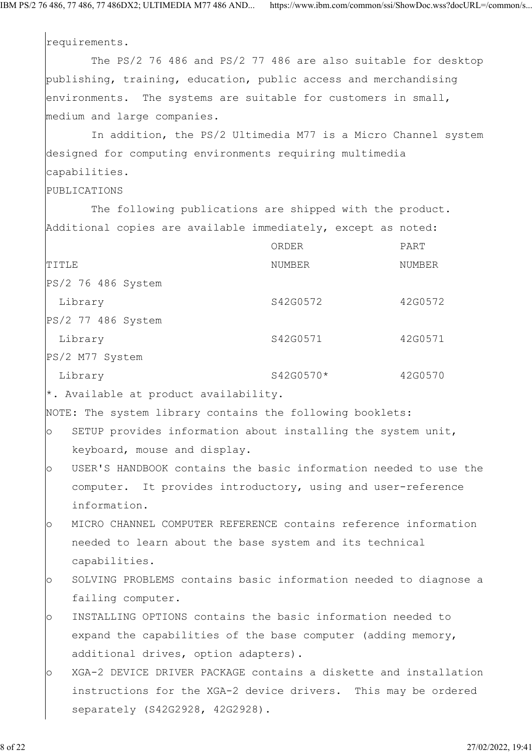requirements.

 The PS/2 76 486 and PS/2 77 486 are also suitable for desktop publishing, training, education, public access and merchandising environments. The systems are suitable for customers in small, medium and large companies.

 In addition, the PS/2 Ultimedia M77 is a Micro Channel system designed for computing environments requiring multimedia capabilities.

# PUBLICATIONS

 The following publications are shipped with the product. Additional copies are available immediately, except as noted:

|                    | ORDER     | PART    |
|--------------------|-----------|---------|
| TITLE              | NUMBER    | NUMBER  |
| PS/2 76 486 System |           |         |
| Library            | S42G0572  | 42G0572 |
| PS/2 77 486 System |           |         |
| Library            | S42G0571  | 42G0571 |
| PS/2 M77 System    |           |         |
| Library            | S42G0570* | 42G0570 |
|                    |           |         |

\*. Available at product availability.

NOTE: The system library contains the following booklets:

- o SETUP provides information about installing the system unit, keyboard, mouse and display.
- o USER'S HANDBOOK contains the basic information needed to use the computer. It provides introductory, using and user-reference information.
- o MICRO CHANNEL COMPUTER REFERENCE contains reference information needed to learn about the base system and its technical capabilities.
- o SOLVING PROBLEMS contains basic information needed to diagnose a failing computer.
- o INSTALLING OPTIONS contains the basic information needed to expand the capabilities of the base computer (adding memory, additional drives, option adapters).
- o XGA-2 DEVICE DRIVER PACKAGE contains a diskette and installation instructions for the XGA-2 device drivers. This may be ordered separately (S42G2928, 42G2928).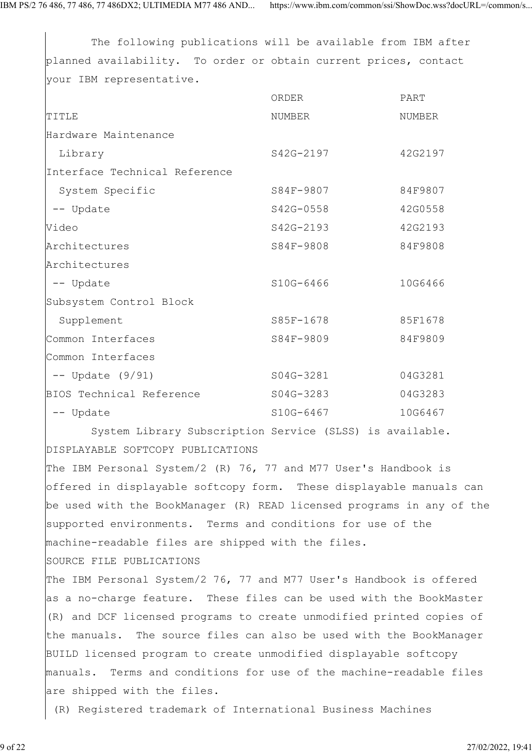The following publications will be available from IBM after planned availability. To order or obtain current prices, contact your IBM representative.

|                               | ORDER     | PART    |
|-------------------------------|-----------|---------|
| TITLE                         | NUMBER    | NUMBER  |
| Hardware Maintenance          |           |         |
| Library                       | S42G-2197 | 42G2197 |
| Interface Technical Reference |           |         |
| System Specific               | S84F-9807 | 84F9807 |
| -- Update                     | S42G-0558 | 42G0558 |
| Video                         | S42G-2193 | 42G2193 |
| Architectures                 | S84F-9808 | 84F9808 |
| Architectures                 |           |         |
| -- Update                     | S10G-6466 | 10G6466 |
| Subsystem Control Block       |           |         |
| Supplement                    | S85F-1678 | 85F1678 |
| Common Interfaces             | S84F-9809 | 84F9809 |
| Common Interfaces             |           |         |
| $--$ Update $(9/91)$          | S04G-3281 | 04G3281 |
| BIOS Technical Reference      | S04G-3283 | 04G3283 |
| -- Update                     | S10G-6467 | 10G6467 |

 System Library Subscription Service (SLSS) is available. DISPLAYABLE SOFTCOPY PUBLICATIONS

The IBM Personal System/2 (R) 76, 77 and M77 User's Handbook is offered in displayable softcopy form. These displayable manuals can be used with the BookManager (R) READ licensed programs in any of the supported environments. Terms and conditions for use of the machine-readable files are shipped with the files.

SOURCE FILE PUBLICATIONS

The IBM Personal System/2 76, 77 and M77 User's Handbook is offered as a no-charge feature. These files can be used with the BookMaster (R) and DCF licensed programs to create unmodified printed copies of the manuals. The source files can also be used with the BookManager BUILD licensed program to create unmodified displayable softcopy manuals. Terms and conditions for use of the machine-readable files are shipped with the files.

(R) Registered trademark of International Business Machines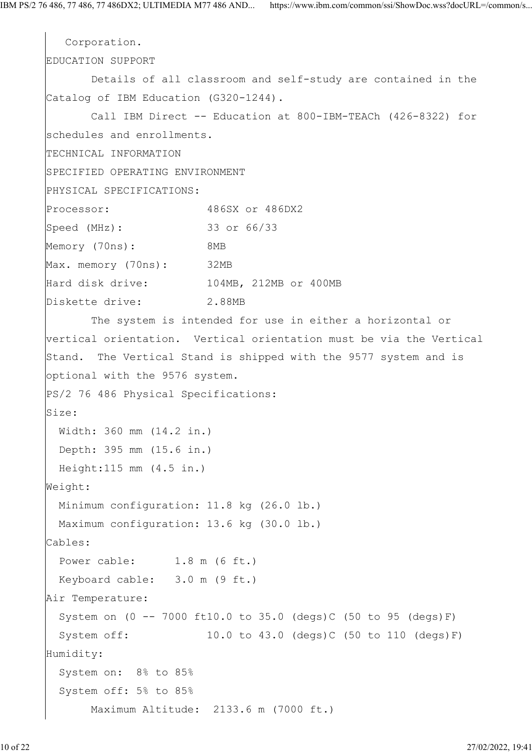```
 Corporation.
EDUCATION SUPPORT
       Details of all classroom and self-study are contained in the
Catalog of IBM Education (G320-1244).
       Call IBM Direct -- Education at 800-IBM-TEACh (426-8322) for
schedules and enrollments.
TECHNICAL INFORMATION
SPECIFIED OPERATING ENVIRONMENT
PHYSICAL SPECIFICATIONS:
Processor: 486SX or 486DX2
|<br>|Speed (MHz): 33 or 66/33
Memory (70ns): 8MB
Max. memory (70ns): 32MB
Hard disk drive: 104MB, 212MB or 400MB
Diskette drive: 2.88MB
       The system is intended for use in either a horizontal or
vertical orientation. Vertical orientation must be via the Vertical
Stand. The Vertical Stand is shipped with the 9577 system and is
optional with the 9576 system.
PS/2 76 486 Physical Specifications:
Size:
  Width: 360 mm (14.2 in.)
  Depth: 395 mm (15.6 in.)
  Height:115 mm (4.5 in.)
Weight:
  Minimum configuration: 11.8 kg (26.0 lb.)
  Maximum configuration: 13.6 kg (30.0 lb.)
Cables:
 Power cable: 1.8 m (6 ft.)
  Keyboard cable: 3.0 m (9 ft.)
Air Temperature:
  System on (0 -- 7000 ft10.0 to 35.0 (degs)C (50 to 95 (degs)F)
   System off: 10.0 to 43.0 (degs)C (50 to 110 (degs)F)
Humidity:
   System on: 8% to 85%
   System off: 5% to 85%
       Maximum Altitude: 2133.6 m (7000 ft.)
```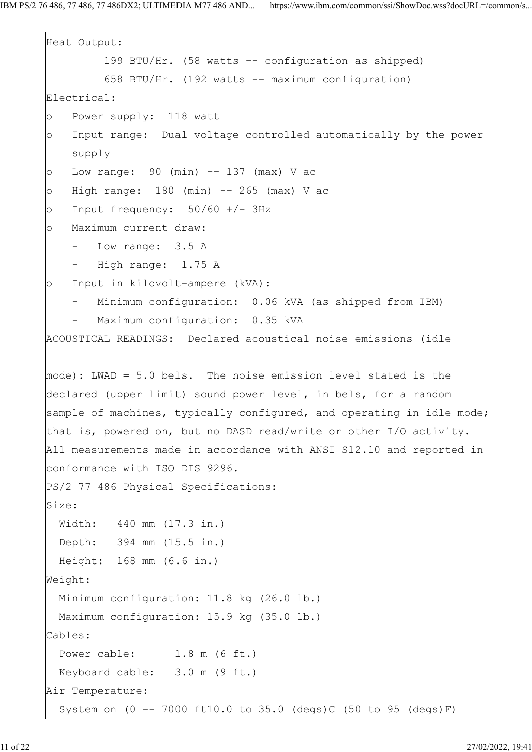```
Heat Output:
          199 BTU/Hr. (58 watts -- configuration as shipped)
          658 BTU/Hr. (192 watts -- maximum configuration)
Electrical:
o Power supply: 118 watt
o Input range: Dual voltage controlled automatically by the power
     supply
o Low range: 90 (min) -- 137 (max) V ac
o High range: 180 (min) -- 265 (max) V ac
o Input frequency: 50/60 +/- 3Hzo Maximum current draw:
     - Low range: 3.5 A
     - High range: 1.75 A
o Input in kilovolt-ampere (kVA):
      Minimum configuration: 0.06 kVA (as shipped from IBM)
       Maximum configuration: 0.35 kVA
ACOUSTICAL READINGS: Declared acoustical noise emissions (idle
mode): LWAD = 5.0 bels. The noise emission level stated is the
declared (upper limit) sound power level, in bels, for a random
sample of machines, typically configured, and operating in idle mode;
that is, powered on, but no DASD read/write or other I/O activity.
All measurements made in accordance with ANSI S12.10 and reported in
conformance with ISO DIS 9296.
PS/2 77 486 Physical Specifications:
Size:
  Width: 440 mm (17.3 in.)
  Depth: 394 mm (15.5 in.)
   Height: 168 mm (6.6 in.)
Weight:
   Minimum configuration: 11.8 kg (26.0 lb.)
  Maximum configuration: 15.9 kg (35.0 lb.)
Cables:
  Power cable: 1.8 m (6 ft.)
   Keyboard cable: 3.0 m (9 ft.)
Air Temperature:
  System on (0 - -7000 \text{ ft}10.0 \text{ to } 35.0 \text{ (deg)})C (50 to 95 (degs) F)
```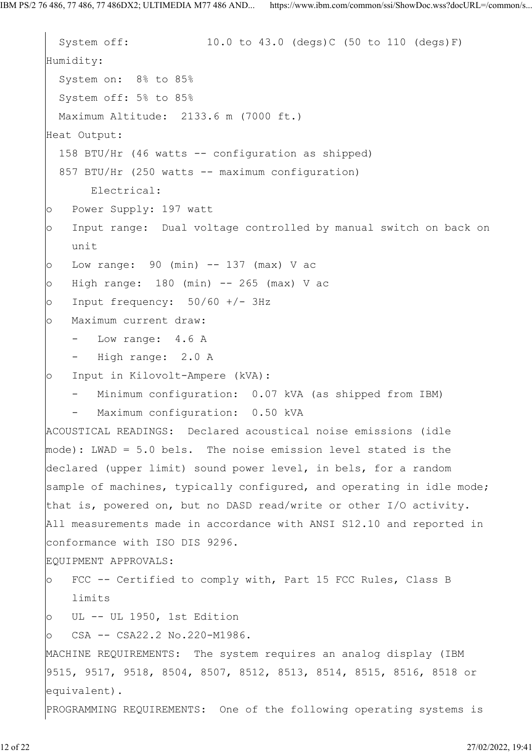```
System off: 10.0 to 43.0 (degs)C (50 to 110 (degs)F)
Humidity:
   System on: 8% to 85%
   System off: 5% to 85%
  Maximum Altitude: 2133.6 m (7000 ft.)
Heat Output:
   158 BTU/Hr (46 watts -- configuration as shipped)
  857 BTU/Hr (250 watts -- maximum configuration)
       Electrical:
o Power Supply: 197 watt
o Input range: Dual voltage controlled by manual switch on back on
    unit
o Low range: 90 (min) -- 137 (max) V ac
o High range: 180 (min) -- 265 (max) V ac
o Input frequency: 50/60 +/- 3Hz
o Maximum current draw:
    - Low range: 4.6 A
    - High range: 2.0 A
o Input in Kilovolt-Ampere (kVA):
     - Minimum configuration: 0.07 kVA (as shipped from IBM)
       Maximum configuration: 0.50 kVA
ACOUSTICAL READINGS: Declared acoustical noise emissions (idle
mode): LWAD = 5.0 bels. The noise emission level stated is the
declared (upper limit) sound power level, in bels, for a random
sample of machines, typically configured, and operating in idle mode;
that is, powered on, but no DASD read/write or other I/O activity.
All measurements made in accordance with ANSI S12.10 and reported in
conformance with ISO DIS 9296.
EQUIPMENT APPROVALS:
o FCC -- Certified to comply with, Part 15 FCC Rules, Class B
    limits
o UL -- UL 1950, 1st Edition
o CSA -- CSA22.2 No.220-M1986.
MACHINE REQUIREMENTS: The system requires an analog display (IBM
9515, 9517, 9518, 8504, 8507, 8512, 8513, 8514, 8515, 8516, 8518 or
equivalent).
PROGRAMMING REQUIREMENTS: One of the following operating systems is
```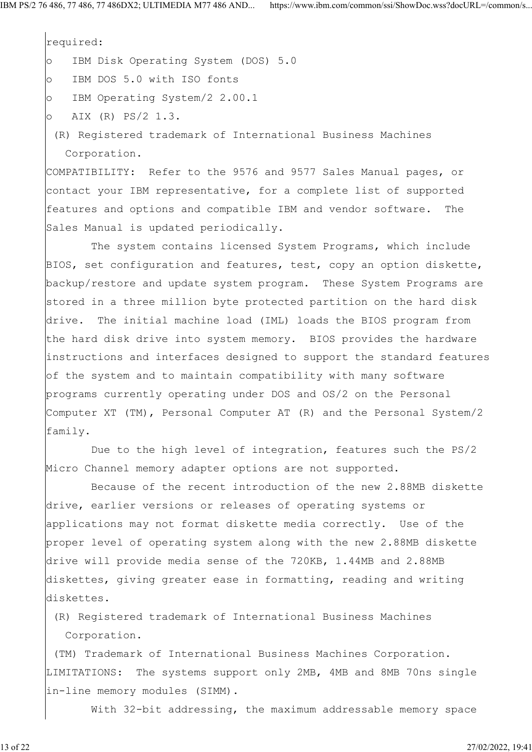required: o IBM Disk Operating System (DOS) 5.0 o IBM DOS 5.0 with ISO fonts o IBM Operating System/2 2.00.1

- o AIX (R) PS/2 1.3.
- (R) Registered trademark of International Business Machines Corporation.

COMPATIBILITY: Refer to the 9576 and 9577 Sales Manual pages, or contact your IBM representative, for a complete list of supported features and options and compatible IBM and vendor software. The Sales Manual is updated periodically.

 The system contains licensed System Programs, which include BIOS, set configuration and features, test, copy an option diskette, backup/restore and update system program. These System Programs are stored in a three million byte protected partition on the hard disk drive. The initial machine load (IML) loads the BIOS program from the hard disk drive into system memory. BIOS provides the hardware instructions and interfaces designed to support the standard features of the system and to maintain compatibility with many software programs currently operating under DOS and OS/2 on the Personal Computer XT (TM), Personal Computer AT (R) and the Personal System/2 family.

 Due to the high level of integration, features such the PS/2 Micro Channel memory adapter options are not supported.

 Because of the recent introduction of the new 2.88MB diskette drive, earlier versions or releases of operating systems or applications may not format diskette media correctly. Use of the proper level of operating system along with the new 2.88MB diskette drive will provide media sense of the 720KB, 1.44MB and 2.88MB diskettes, giving greater ease in formatting, reading and writing diskettes.

 (R) Registered trademark of International Business Machines Corporation.

 (TM) Trademark of International Business Machines Corporation. LIMITATIONS: The systems support only 2MB, 4MB and 8MB 70ns single in-line memory modules (SIMM).

With 32-bit addressing, the maximum addressable memory space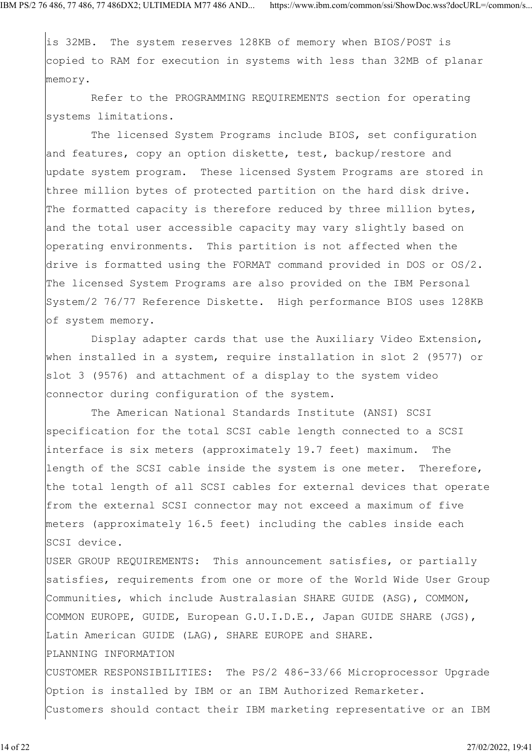is 32MB. The system reserves 128KB of memory when BIOS/POST is copied to RAM for execution in systems with less than 32MB of planar memory.

 Refer to the PROGRAMMING REQUIREMENTS section for operating systems limitations.

 The licensed System Programs include BIOS, set configuration and features, copy an option diskette, test, backup/restore and update system program. These licensed System Programs are stored in three million bytes of protected partition on the hard disk drive. The formatted capacity is therefore reduced by three million bytes, and the total user accessible capacity may vary slightly based on operating environments. This partition is not affected when the drive is formatted using the FORMAT command provided in DOS or OS/2. The licensed System Programs are also provided on the IBM Personal System/2 76/77 Reference Diskette. High performance BIOS uses 128KB of system memory.

 Display adapter cards that use the Auxiliary Video Extension, when installed in a system, require installation in slot 2 (9577) or slot 3 (9576) and attachment of a display to the system video connector during configuration of the system.

 The American National Standards Institute (ANSI) SCSI specification for the total SCSI cable length connected to a SCSI interface is six meters (approximately 19.7 feet) maximum. The length of the SCSI cable inside the system is one meter. Therefore, the total length of all SCSI cables for external devices that operate from the external SCSI connector may not exceed a maximum of five meters (approximately 16.5 feet) including the cables inside each SCSI device.

USER GROUP REQUIREMENTS: This announcement satisfies, or partially satisfies, requirements from one or more of the World Wide User Group Communities, which include Australasian SHARE GUIDE (ASG), COMMON, COMMON EUROPE, GUIDE, European G.U.I.D.E., Japan GUIDE SHARE (JGS), Latin American GUIDE (LAG), SHARE EUROPE and SHARE. PLANNING INFORMATION CUSTOMER RESPONSIBILITIES: The PS/2 486-33/66 Microprocessor Upgrade

Option is installed by IBM or an IBM Authorized Remarketer. Customers should contact their IBM marketing representative or an IBM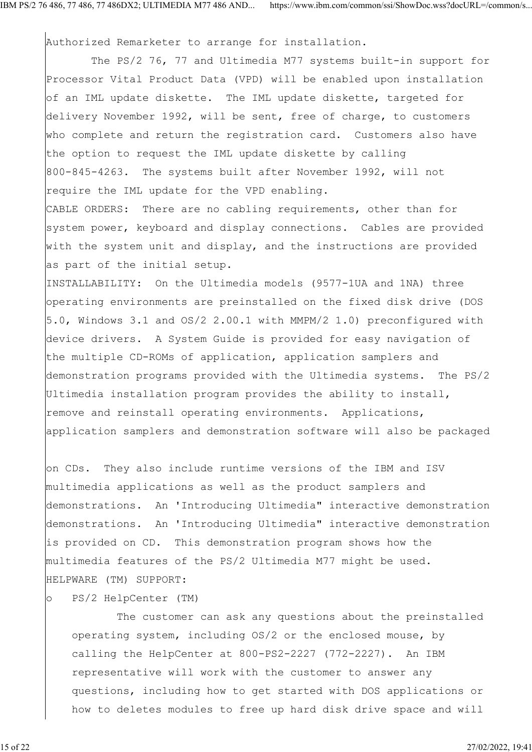Authorized Remarketer to arrange for installation.

The PS/2 76, 77 and Ultimedia M77 systems built-in support for Processor Vital Product Data (VPD) will be enabled upon installation of an IML update diskette. The IML update diskette, targeted for delivery November 1992, will be sent, free of charge, to customers who complete and return the registration card. Customers also have the option to request the IML update diskette by calling 800-845-4263. The systems built after November 1992, will not require the IML update for the VPD enabling.

CABLE ORDERS: There are no cabling requirements, other than for system power, keyboard and display connections. Cables are provided with the system unit and display, and the instructions are provided as part of the initial setup.

INSTALLABILITY: On the Ultimedia models (9577-1UA and 1NA) three operating environments are preinstalled on the fixed disk drive (DOS 5.0, Windows 3.1 and OS/2 2.00.1 with MMPM/2 1.0) preconfigured with device drivers. A System Guide is provided for easy navigation of the multiple CD-ROMs of application, application samplers and demonstration programs provided with the Ultimedia systems. The PS/2 Ultimedia installation program provides the ability to install, remove and reinstall operating environments. Applications, application samplers and demonstration software will also be packaged

on CDs. They also include runtime versions of the IBM and ISV multimedia applications as well as the product samplers and demonstrations. An 'Introducing Ultimedia" interactive demonstration demonstrations. An 'Introducing Ultimedia" interactive demonstration is provided on CD. This demonstration program shows how the multimedia features of the PS/2 Ultimedia M77 might be used. HELPWARE (TM) SUPPORT:

o PS/2 HelpCenter (TM)

 The customer can ask any questions about the preinstalled operating system, including OS/2 or the enclosed mouse, by calling the HelpCenter at 800-PS2-2227 (772-2227). An IBM representative will work with the customer to answer any questions, including how to get started with DOS applications or how to deletes modules to free up hard disk drive space and will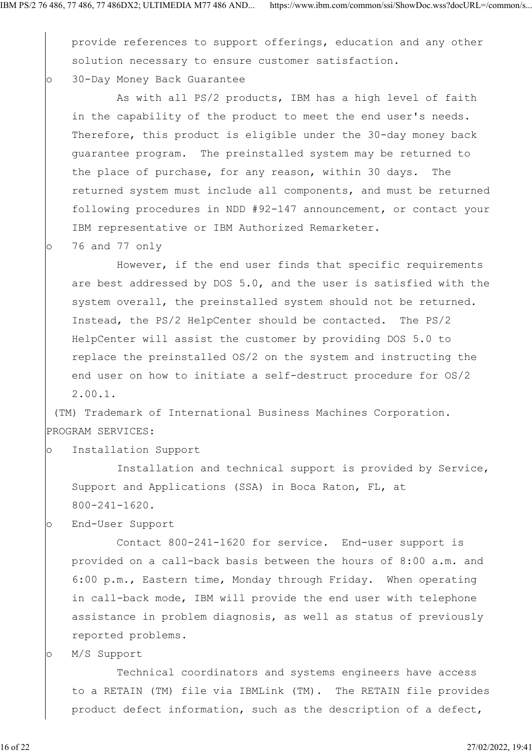provide references to support offerings, education and any other solution necessary to ensure customer satisfaction. o 30-Day Money Back Guarantee

 As with all PS/2 products, IBM has a high level of faith in the capability of the product to meet the end user's needs. Therefore, this product is eligible under the 30-day money back guarantee program. The preinstalled system may be returned to the place of purchase, for any reason, within 30 days. The returned system must include all components, and must be returned following procedures in NDD #92-147 announcement, or contact your IBM representative or IBM Authorized Remarketer.

o 76 and 77 only

 However, if the end user finds that specific requirements are best addressed by DOS 5.0, and the user is satisfied with the system overall, the preinstalled system should not be returned. Instead, the PS/2 HelpCenter should be contacted. The PS/2 HelpCenter will assist the customer by providing DOS 5.0 to replace the preinstalled OS/2 on the system and instructing the end user on how to initiate a self-destruct procedure for OS/2 2.00.1.

 (TM) Trademark of International Business Machines Corporation. PROGRAM SERVICES:

o Installation Support

 Installation and technical support is provided by Service, Support and Applications (SSA) in Boca Raton, FL, at 800-241-1620.

o End-User Support

 Contact 800-241-1620 for service. End-user support is provided on a call-back basis between the hours of 8:00 a.m. and 6:00 p.m., Eastern time, Monday through Friday. When operating in call-back mode, IBM will provide the end user with telephone assistance in problem diagnosis, as well as status of previously reported problems.

o M/S Support

 Technical coordinators and systems engineers have access to a RETAIN (TM) file via IBMLink (TM). The RETAIN file provides product defect information, such as the description of a defect,

16 of 22 27/02/2022, 19:41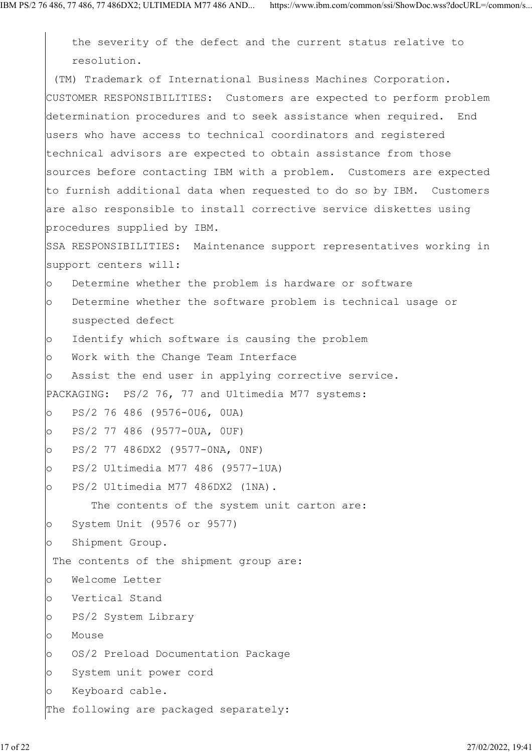the severity of the defect and the current status relative to resolution. (TM) Trademark of International Business Machines Corporation. CUSTOMER RESPONSIBILITIES: Customers are expected to perform problem determination procedures and to seek assistance when required. End users who have access to technical coordinators and registered technical advisors are expected to obtain assistance from those sources before contacting IBM with a problem. Customers are expected to furnish additional data when requested to do so by IBM. Customers are also responsible to install corrective service diskettes using procedures supplied by IBM. SSA RESPONSIBILITIES: Maintenance support representatives working in support centers will: o Determine whether the problem is hardware or software o Determine whether the software problem is technical usage or suspected defect o Identify which software is causing the problem o Work with the Change Team Interface o Assist the end user in applying corrective service. PACKAGING: PS/2 76, 77 and Ultimedia M77 systems: o PS/2 76 486 (9576-0U6, 0UA) o PS/2 77 486 (9577-0UA, 0UF) o PS/2 77 486DX2 (9577-0NA, 0NF) o PS/2 Ultimedia M77 486 (9577-1UA) o PS/2 Ultimedia M77 486DX2 (1NA). The contents of the system unit carton are: o System Unit (9576 or 9577) o Shipment Group. The contents of the shipment group are: o Welcome Letter o Vertical Stand o PS/2 System Library o Mouse o OS/2 Preload Documentation Package o System unit power cord o Keyboard cable. The following are packaged separately: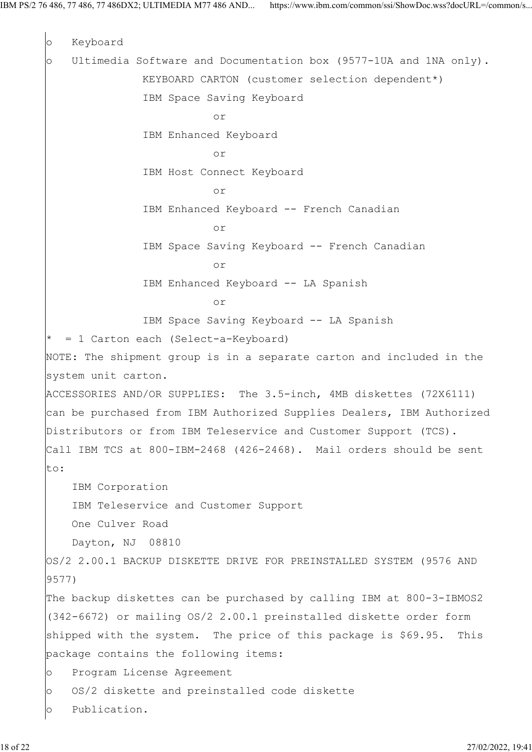o Keyboard o Ultimedia Software and Documentation box (9577-1UA and 1NA only). KEYBOARD CARTON (customer selection dependent\*) IBM Space Saving Keyboard or IBM Enhanced Keyboard or IBM Host Connect Keyboard or IBM Enhanced Keyboard -- French Canadian or IBM Space Saving Keyboard -- French Canadian or IBM Enhanced Keyboard -- LA Spanish or IBM Space Saving Keyboard -- LA Spanish = 1 Carton each (Select-a-Keyboard) NOTE: The shipment group is in a separate carton and included in the system unit carton. ACCESSORIES AND/OR SUPPLIES: The 3.5-inch, 4MB diskettes (72X6111) can be purchased from IBM Authorized Supplies Dealers, IBM Authorized Distributors or from IBM Teleservice and Customer Support (TCS). Call IBM TCS at 800-IBM-2468 (426-2468). Mail orders should be sent to: IBM Corporation IBM Teleservice and Customer Support One Culver Road Dayton, NJ 08810 OS/2 2.00.1 BACKUP DISKETTE DRIVE FOR PREINSTALLED SYSTEM (9576 AND 9577) The backup diskettes can be purchased by calling IBM at 800-3-IBMOS2 (342-6672) or mailing OS/2 2.00.1 preinstalled diskette order form shipped with the system. The price of this package is \$69.95. This package contains the following items: o Program License Agreement o OS/2 diskette and preinstalled code diskette o Publication.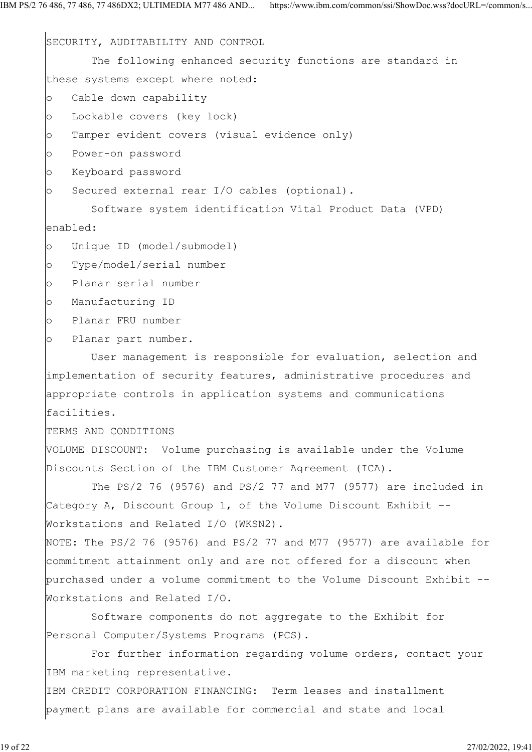SECURITY, AUDITABILITY AND CONTROL The following enhanced security functions are standard in these systems except where noted: o Cable down capability o Lockable covers (key lock) o Tamper evident covers (visual evidence only) o Power-on password o Keyboard password o Secured external rear I/O cables (optional). Software system identification Vital Product Data (VPD) enabled: o Unique ID (model/submodel) o Type/model/serial number o Planar serial number o Manufacturing ID o Planar FRU number o Planar part number. User management is responsible for evaluation, selection and implementation of security features, administrative procedures and appropriate controls in application systems and communications facilities. TERMS AND CONDITIONS VOLUME DISCOUNT: Volume purchasing is available under the Volume Discounts Section of the IBM Customer Agreement (ICA). The PS/2 76 (9576) and PS/2 77 and M77 (9577) are included in Category A, Discount Group 1, of the Volume Discount Exhibit -- Workstations and Related I/O (WKSN2). NOTE: The PS/2 76 (9576) and PS/2 77 and M77 (9577) are available for commitment attainment only and are not offered for a discount when purchased under a volume commitment to the Volume Discount Exhibit -- Workstations and Related I/O. Software components do not aggregate to the Exhibit for Personal Computer/Systems Programs (PCS). For further information regarding volume orders, contact your IBM marketing representative.

IBM CREDIT CORPORATION FINANCING: Term leases and installment payment plans are available for commercial and state and local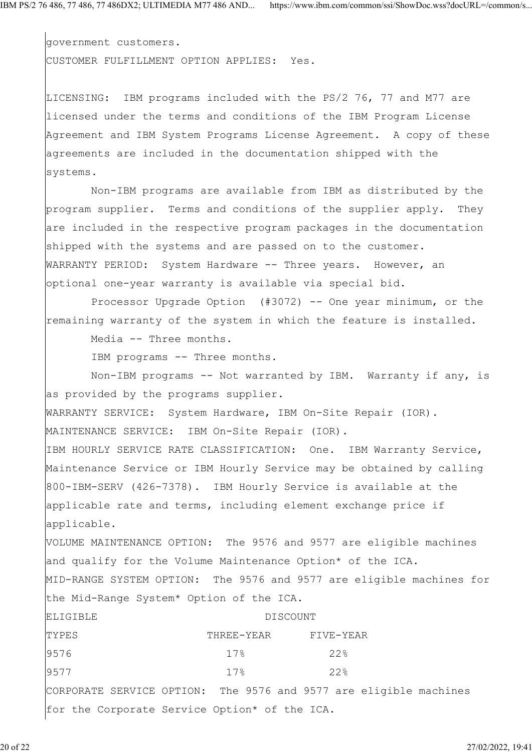government customers. CUSTOMER FULFILLMENT OPTION APPLIES: Yes.

LICENSING: IBM programs included with the PS/2 76, 77 and M77 are licensed under the terms and conditions of the IBM Program License Agreement and IBM System Programs License Agreement. A copy of these agreements are included in the documentation shipped with the systems.

 Non-IBM programs are available from IBM as distributed by the program supplier. Terms and conditions of the supplier apply. They are included in the respective program packages in the documentation shipped with the systems and are passed on to the customer. WARRANTY PERIOD: System Hardware -- Three years. However, an optional one-year warranty is available via special bid.

 Processor Upgrade Option (#3072) -- One year minimum, or the remaining warranty of the system in which the feature is installed.

Media -- Three months.

IBM programs -- Three months.

 Non-IBM programs -- Not warranted by IBM. Warranty if any, is as provided by the programs supplier. WARRANTY SERVICE: System Hardware, IBM On-Site Repair (IOR). MAINTENANCE SERVICE: IBM On-Site Repair (IOR). IBM HOURLY SERVICE RATE CLASSIFICATION: One. IBM Warranty Service, Maintenance Service or IBM Hourly Service may be obtained by calling 800-IBM-SERV (426-7378). IBM Hourly Service is available at the applicable rate and terms, including element exchange price if applicable. VOLUME MAINTENANCE OPTION: The 9576 and 9577 are eligible machines and qualify for the Volume Maintenance Option\* of the ICA. MID-RANGE SYSTEM OPTION: The 9576 and 9577 are eligible machines for the Mid-Range System\* Option of the ICA. ELIGIBLE DISCOUNT TYPES THREE-YEAR FIVE-YEAR FIVE-YEAR 9576 17% 22% 9577 17% 22%

CORPORATE SERVICE OPTION: The 9576 and 9577 are eligible machines for the Corporate Service Option\* of the ICA.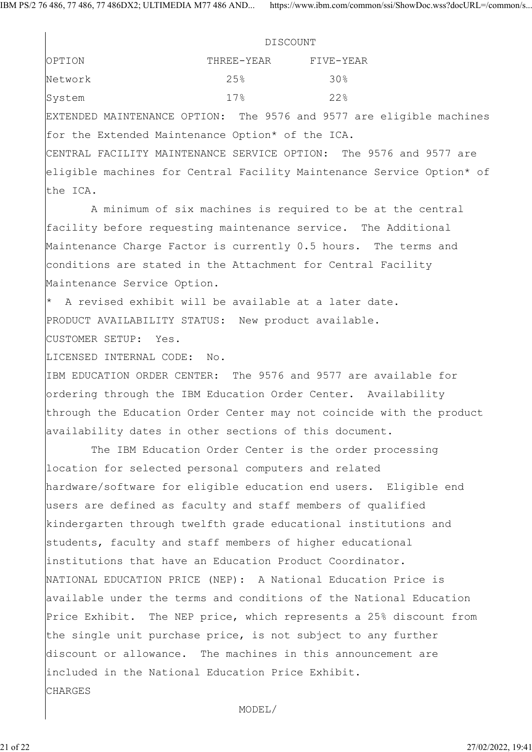IBM PS/2 76 486, 77 486, 77 486DX2; ULTIMEDIA M77 486 AND... https://www.ibm.com/common/ssi/ShowDoc.wss?docURL=/common/s...

|                             | <b>DISCOUNT</b>                                             |                                                                       |
|-----------------------------|-------------------------------------------------------------|-----------------------------------------------------------------------|
| OPTION                      | THREE-YEAR                                                  | FIVE-YEAR                                                             |
| Network                     | 25%                                                         | 30%                                                                   |
| System                      | 17.8                                                        | 22%                                                                   |
|                             |                                                             | EXTENDED MAINTENANCE OPTION: The 9576 and 9577 are eligible machines  |
|                             | for the Extended Maintenance Option* of the ICA.            |                                                                       |
|                             |                                                             | CENTRAL FACILITY MAINTENANCE SERVICE OPTION: The 9576 and 9577 are    |
|                             |                                                             | eligible machines for Central Facility Maintenance Service Option* of |
| the ICA.                    |                                                             |                                                                       |
|                             |                                                             | A minimum of six machines is required to be at the central            |
|                             |                                                             | facility before requesting maintenance service. The Additional        |
|                             |                                                             | Maintenance Charge Factor is currently 0.5 hours. The terms and       |
|                             |                                                             | conditions are stated in the Attachment for Central Facility          |
| Maintenance Service Option. |                                                             |                                                                       |
|                             | $*$ A revised exhibit will be available at a later date.    |                                                                       |
|                             | PRODUCT AVAILABILITY STATUS: New product available.         |                                                                       |
| CUSTOMER SETUP: Yes.        |                                                             |                                                                       |
| LICENSED INTERNAL CODE: No. |                                                             |                                                                       |
|                             |                                                             | IBM EDUCATION ORDER CENTER: The 9576 and 9577 are available for       |
|                             |                                                             | ordering through the IBM Education Order Center. Availability         |
|                             |                                                             | through the Education Order Center may not coincide with the product  |
|                             | availability dates in other sections of this document.      |                                                                       |
|                             |                                                             | The IBM Education Order Center is the order processing                |
|                             | location for selected personal computers and related        |                                                                       |
|                             |                                                             | hardware/software for eligible education end users. Eligible end      |
|                             | users are defined as faculty and staff members of qualified |                                                                       |
|                             |                                                             | kindergarten through twelfth grade educational institutions and       |
|                             | students, faculty and staff members of higher educational   |                                                                       |
|                             | institutions that have an Education Product Coordinator.    |                                                                       |
|                             |                                                             | NATIONAL EDUCATION PRICE (NEP): A National Education Price is         |
|                             |                                                             | available under the terms and conditions of the National Education    |
|                             |                                                             | Price Exhibit. The NEP price, which represents a 25% discount from    |
|                             |                                                             | the single unit purchase price, is not subject to any further         |
|                             |                                                             | discount or allowance. The machines in this announcement are          |
|                             | included in the National Education Price Exhibit.           |                                                                       |
| <b>CHARGES</b>              |                                                             |                                                                       |
|                             |                                                             |                                                                       |